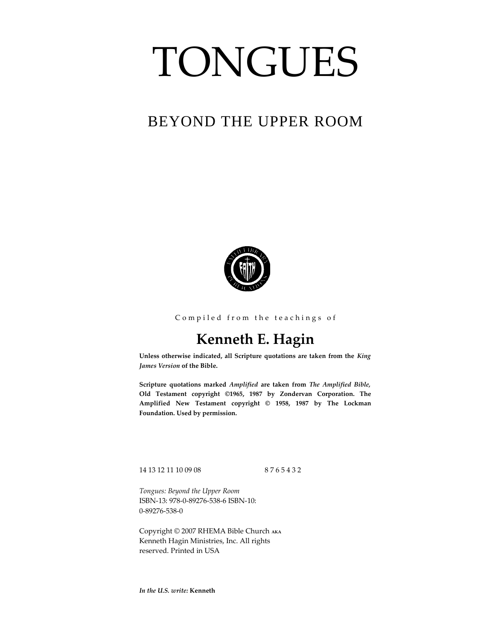# TONGUES

## BEYOND THE UPPER ROOM



Compiled from the teachings of

## **Kenneth E. Hagin**

**Unless otherwise indicated, all Scripture quotations are taken from the** *King James Version* **of the Bible.**

**Scripture quotations marked** *Amplified* **are taken from** *The Amplified Bible,* **Old Testament copyright ©1965, 1987 by Zondervan Corporation. The Amplified New Testament copyright © 1958, 1987 by The Lockman Foundation. Used by permission.**

14 13 12 11 10 09 08 8 7 6 5 4 3 2

*Tongues: Beyond the Upper Room* ISBN-13: 978-0-89276-538-6 ISBN-10: 0-89276-538-0

Copyright © 2007 RHEMA Bible Church **AKA** Kenneth Hagin Ministries, Inc. All rights reserved. Printed in USA

*In the U.S. write:* **Kenneth**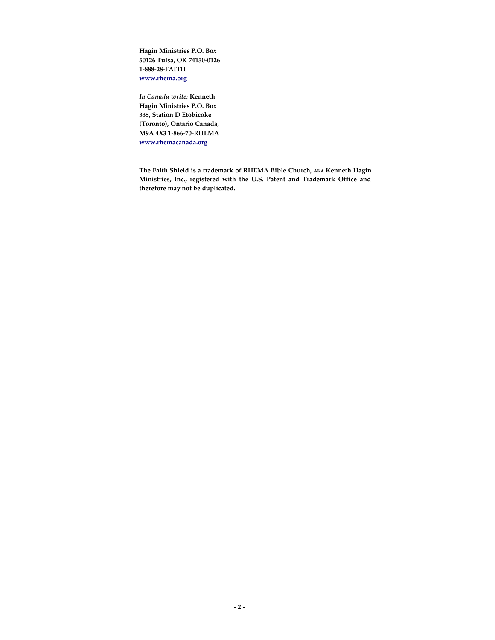**Hagin Ministries P.O. Box 50126 Tulsa, OK 74150-0126 1-888-28-FAITH [www.rhema.org](http://www.rhema.org/)**

*In Canada write:* **Kenneth Hagin Ministries P.O. Box 335, Station D Etobicoke (Toronto), Ontario Canada, M9A 4X3 1-866-70-RHEMA [www.rhemacanada.org](http://www.rhemacanada.org/)**

**The Faith Shield is a trademark of RHEMA Bible Church, AKA Kenneth Hagin Ministries, Inc., registered with the U.S. Patent and Trademark Office and therefore may not be duplicated.**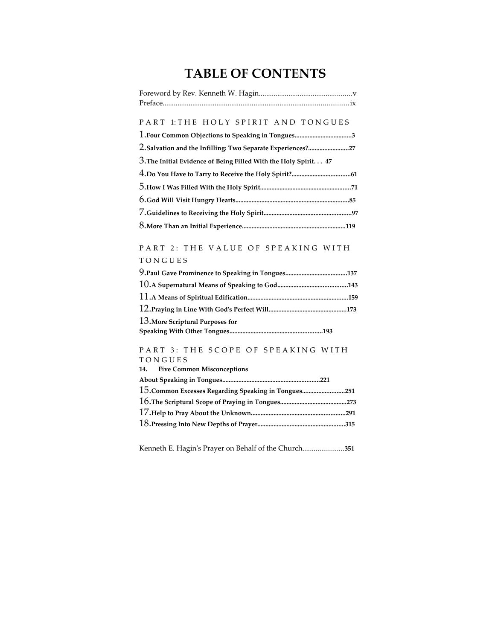### **TABLE OF CONTENTS**

| PART 1: THE HOLY SPIRIT AND TONGUES                             |
|-----------------------------------------------------------------|
|                                                                 |
|                                                                 |
| 3. The Initial Evidence of Being Filled With the Holy Spirit 47 |
|                                                                 |
|                                                                 |
|                                                                 |
|                                                                 |
|                                                                 |

#### PART 2: THE VALUE OF SPEAKING WITH T O N G U E S

| 13. More Scriptural Purposes for |  |
|----------------------------------|--|
|                                  |  |

#### PART 3: THE SCOPE OF SPEAKING WITH T O N G U E S

| 14. Five Common Misconceptions                       |  |
|------------------------------------------------------|--|
|                                                      |  |
| 15. Common Excesses Regarding Speaking in Tongues251 |  |
|                                                      |  |
|                                                      |  |
|                                                      |  |
|                                                      |  |

Kenneth E. Hagin's Prayer on Behalf of the Church......................**351**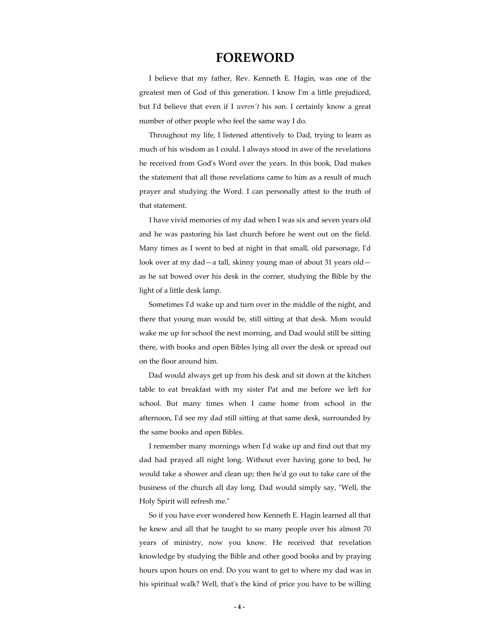#### **FOREWORD**

I believe that my father, Rev. Kenneth E. Hagin, was one of the greatest men of God of this generation. I know I'm a little prejudiced, but I'd believe that even if I *weren't* his son. I certainly know a great number of other people who feel the same way I do.

Throughout my life, I listened attentively to Dad, trying to learn as much of his wisdom as I could. I always stood in awe of the revelations he received from God's Word over the years. In this book, Dad makes the statement that all those revelations came to him as a result of much prayer and studying the Word. I can personally attest to the truth of that statement.

I have vivid memories of my dad when I was six and seven years old and he was pastoring his last church before he went out on the field. Many times as I went to bed at night in that small, old parsonage, I'd look over at my dad—a tall, skinny young man of about 31 years old as he sat bowed over his desk in the corner, studying the Bible by the light of a little desk lamp.

Sometimes I'd wake up and turn over in the middle of the night, and there that young man would be, still sitting at that desk. Mom would wake me up for school the next morning, and Dad would still be sitting there, with books and open Bibles lying all over the desk or spread out on the floor around him.

Dad would always get up from his desk and sit down at the kitchen table to eat breakfast with my sister Pat and me before we left for school. But many times when I came home from school in the afternoon, I'd see my dad still sitting at that same desk, surrounded by the same books and open Bibles.

I remember many mornings when I'd wake up and find out that my dad had prayed all night long. Without ever having gone to bed, he would take a shower and clean up; then he'd go out to take care of the business of the church all day long. Dad would simply say, "Well, the Holy Spirit will refresh me."

So if you have ever wondered how Kenneth E. Hagin learned all that he knew and all that he taught to so many people over his almost 70 years of ministry, now you know. He received that revelation knowledge by studying the Bible and other good books and by praying hours upon hours on end. Do you want to get to where my dad was in his spiritual walk? Well, that's the kind of price you have to be willing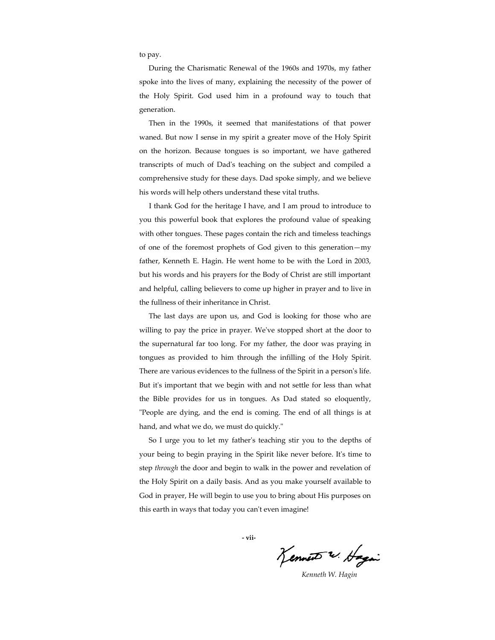to pay.

During the Charismatic Renewal of the 1960s and 1970s, my father spoke into the lives of many, explaining the necessity of the power of the Holy Spirit. God used him in a profound way to touch that generation.

Then in the 1990s, it seemed that manifestations of that power waned. But now I sense in my spirit a greater move of the Holy Spirit on the horizon. Because tongues is so important, we have gathered transcripts of much of Dad's teaching on the subject and compiled a comprehensive study for these days. Dad spoke simply, and we believe his words will help others understand these vital truths.

I thank God for the heritage I have, and I am proud to introduce to you this powerful book that explores the profound value of speaking with other tongues. These pages contain the rich and timeless teachings of one of the foremost prophets of God given to this generation—my father, Kenneth E. Hagin. He went home to be with the Lord in 2003, but his words and his prayers for the Body of Christ are still important and helpful, calling believers to come up higher in prayer and to live in the fullness of their inheritance in Christ.

The last days are upon us, and God is looking for those who are willing to pay the price in prayer. We've stopped short at the door to the supernatural far too long. For my father, the door was praying in tongues as provided to him through the infilling of the Holy Spirit. There are various evidences to the fullness of the Spirit in a person's life. But it's important that we begin with and not settle for less than what the Bible provides for us in tongues. As Dad stated so eloquently, "People are dying, and the end is coming. The end of all things is at hand, and what we do, we must do quickly."

So I urge you to let my father's teaching stir you to the depths of your being to begin praying in the Spirit like never before. It's time to step *through* the door and begin to walk in the power and revelation of the Holy Spirit on a daily basis. And as you make yourself available to God in prayer, He will begin to use you to bring about His purposes on this earth in ways that today you can't even imagine!

**- vii-**

Kennest W. Hagai

*Kenneth W. Hagin*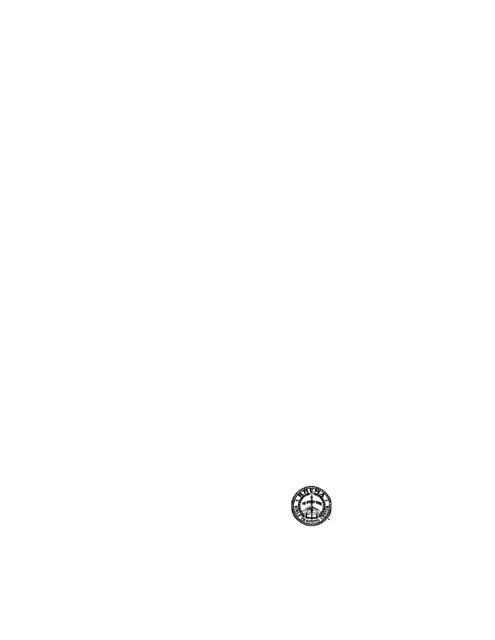